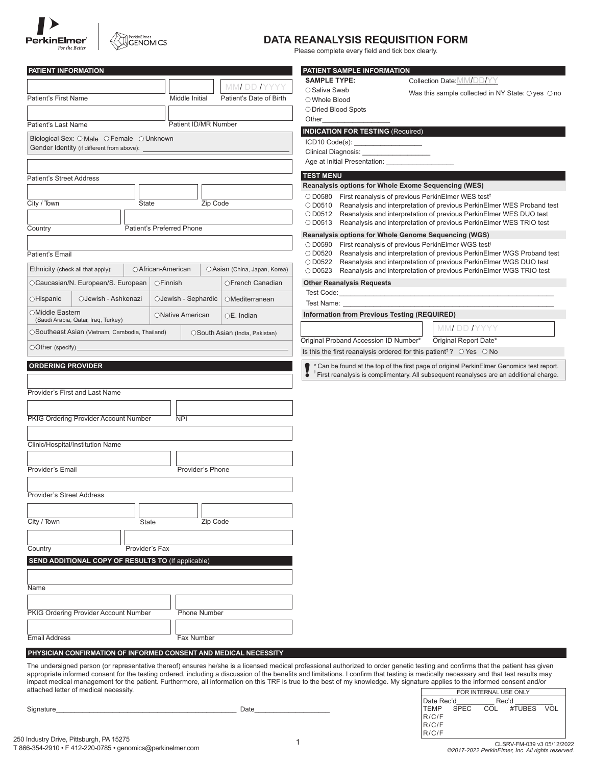



# **DATA REANALYSIS REQUISITION FORM**

Please complete every field and tick box clearly.

| PATIENT INFORMATION                                                                                                                                          |                      |                                | PATIENT SAMPLE INFORMATION                   |                                                                                                     |
|--------------------------------------------------------------------------------------------------------------------------------------------------------------|----------------------|--------------------------------|----------------------------------------------|-----------------------------------------------------------------------------------------------------|
|                                                                                                                                                              |                      | MMI DD IYYYY                   | <b>SAMPLE TYPE:</b>                          | Collection Date: MM/DD/YY                                                                           |
| Patient's First Name                                                                                                                                         | Middle Initial       | Patient's Date of Birth        | ○ Saliva Swab<br>○ Whole Blood               | Was this sample collected in NY State: $\bigcirc$ yes $\bigcirc$ no                                 |
|                                                                                                                                                              |                      |                                |                                              |                                                                                                     |
|                                                                                                                                                              |                      |                                | O Dried Blood Spots                          |                                                                                                     |
| Patient's Last Name                                                                                                                                          | Patient ID/MR Number |                                | Other                                        |                                                                                                     |
|                                                                                                                                                              |                      |                                | <b>INDICATION FOR TESTING (Required)</b>     |                                                                                                     |
| Biological Sex: O Male O Female O Unknown<br>Gender Identity (if different from above):                                                                      |                      |                                |                                              |                                                                                                     |
|                                                                                                                                                              |                      |                                |                                              |                                                                                                     |
|                                                                                                                                                              |                      |                                | Age at Initial Presentation:                 |                                                                                                     |
|                                                                                                                                                              |                      |                                | <b>TEST MENU</b>                             |                                                                                                     |
| <b>Patient's Street Address</b>                                                                                                                              |                      |                                |                                              | Reanalysis options for Whole Exome Sequencing (WES)                                                 |
|                                                                                                                                                              |                      |                                |                                              | ○ D0580 First reanalysis of previous PerkinElmer WES test <sup>†</sup>                              |
| City / Town<br>State                                                                                                                                         | Zip Code             |                                |                                              | ○ D0510 Reanalysis and interpretation of previous PerkinElmer WES Proband test                      |
|                                                                                                                                                              |                      |                                |                                              | ○ D0512 Reanalysis and interpretation of previous PerkinElmer WES DUO test                          |
|                                                                                                                                                              |                      |                                |                                              | O D0513 Reanalysis and interpretation of previous PerkinElmer WES TRIO test                         |
| Patient's Preferred Phone<br>Country                                                                                                                         |                      |                                |                                              | Reanalysis options for Whole Genome Sequencing (WGS)                                                |
|                                                                                                                                                              |                      |                                |                                              | O D0590 First reanalysis of previous PerkinElmer WGS test <sup>†</sup>                              |
| Patient's Email                                                                                                                                              |                      |                                |                                              | O D0520 Reanalysis and interpretation of previous PerkinElmer WGS Proband test                      |
|                                                                                                                                                              |                      |                                |                                              | O D0522 Reanalysis and interpretation of previous PerkinElmer WGS DUO test                          |
| Ethnicity (check all that apply):<br>○ African-American                                                                                                      |                      | OAsian (China, Japan, Korea)   |                                              | ○ D0523 Reanalysis and interpretation of previous PerkinElmer WGS TRIO test                         |
|                                                                                                                                                              |                      |                                | <b>Other Reanalysis Requests</b>             |                                                                                                     |
| OCaucasian/N. European/S. European                                                                                                                           | ○Finnish             | OFrench Canadian               | Test Code: The Contract of the Code:         |                                                                                                     |
| OJewish - Ashkenazi<br>○Hispanic                                                                                                                             | OJewish - Sephardic  | OMediterranean                 |                                              |                                                                                                     |
|                                                                                                                                                              |                      |                                |                                              |                                                                                                     |
| ○Middle Eastern<br>(Saudi Arabia, Qatar, Iraq, Turkey)                                                                                                       | ONative American     | $OE.$ Indian                   | Information from Previous Testing (REQUIRED) |                                                                                                     |
|                                                                                                                                                              |                      |                                |                                              | MMI DD IYYYY                                                                                        |
| OSoutheast Asian (Vietnam, Cambodia, Thailand)                                                                                                               |                      | OSouth Asian (India, Pakistan) |                                              |                                                                                                     |
|                                                                                                                                                              |                      |                                |                                              |                                                                                                     |
|                                                                                                                                                              |                      |                                | Original Proband Accession ID Number*        | Original Report Date*                                                                               |
| $\bigcirc$ Other (specify) $\overline{\phantom{a}}$                                                                                                          |                      |                                |                                              | Is this the first reanalysis ordered for this patient <sup>†</sup> ? $\circ$ Yes $\circ$ No         |
|                                                                                                                                                              |                      |                                |                                              | * Can be found at the top of the first page of original PerkinElmer Genomics test report.           |
|                                                                                                                                                              |                      |                                |                                              | <sup>†</sup> First reanalysis is complimentary. All subsequent reanalyses are an additional charge. |
| <b>ORDERING PROVIDER</b>                                                                                                                                     |                      |                                |                                              |                                                                                                     |
|                                                                                                                                                              |                      |                                |                                              |                                                                                                     |
|                                                                                                                                                              |                      |                                |                                              |                                                                                                     |
|                                                                                                                                                              | <b>NPI</b>           |                                |                                              |                                                                                                     |
|                                                                                                                                                              |                      |                                |                                              |                                                                                                     |
|                                                                                                                                                              |                      |                                |                                              |                                                                                                     |
|                                                                                                                                                              |                      |                                |                                              |                                                                                                     |
|                                                                                                                                                              |                      |                                |                                              |                                                                                                     |
|                                                                                                                                                              |                      |                                |                                              |                                                                                                     |
|                                                                                                                                                              | Provider's Phone     |                                |                                              |                                                                                                     |
|                                                                                                                                                              |                      |                                |                                              |                                                                                                     |
|                                                                                                                                                              |                      |                                |                                              |                                                                                                     |
|                                                                                                                                                              |                      |                                |                                              |                                                                                                     |
| Provider's First and Last Name<br>PKIG Ordering Provider Account Number<br>Clinic/Hospital/Institution Name<br>Provider's Email<br>Provider's Street Address |                      |                                |                                              |                                                                                                     |
| <b>State</b>                                                                                                                                                 | Zip Code             |                                |                                              |                                                                                                     |
| City / Town                                                                                                                                                  |                      |                                |                                              |                                                                                                     |
|                                                                                                                                                              |                      |                                |                                              |                                                                                                     |
| Country<br>Provider's Fax                                                                                                                                    |                      |                                |                                              |                                                                                                     |
| SEND ADDITIONAL COPY OF RESULTS TO (If applicable)                                                                                                           |                      |                                |                                              |                                                                                                     |
|                                                                                                                                                              |                      |                                |                                              |                                                                                                     |
|                                                                                                                                                              |                      |                                |                                              |                                                                                                     |
| Name                                                                                                                                                         |                      |                                |                                              |                                                                                                     |
|                                                                                                                                                              |                      |                                |                                              |                                                                                                     |
|                                                                                                                                                              |                      |                                |                                              |                                                                                                     |
|                                                                                                                                                              | <b>Phone Number</b>  |                                |                                              |                                                                                                     |
|                                                                                                                                                              |                      |                                |                                              |                                                                                                     |
| PKIG Ordering Provider Account Number<br><b>Email Address</b>                                                                                                | Fax Number           |                                |                                              |                                                                                                     |

The undersigned person (or representative thereof) ensures he/she is a licensed medical professional authorized to order genetic testing and confirms that the patient has given appropriate informed consent for the testing ordered, including a discussion of the benefits and limitations. I confirm that testing is medically necessary and that test results may impact medical management for the patient. Furthermore, all information on this TRF is true to the best of my knowledge. My signature applies to the informed consent and/or attached letter of medical necessity.

Signature\_\_\_\_\_\_\_\_\_\_\_\_\_\_\_\_\_\_\_\_\_\_\_\_\_\_\_\_\_\_\_\_\_\_\_\_\_\_\_\_\_\_\_\_\_\_\_\_ Date\_\_\_\_\_\_\_\_\_\_\_\_\_\_\_\_\_\_\_\_

| FOR INTERNAL USE ONLY |  |       |                          |  |
|-----------------------|--|-------|--------------------------|--|
|                       |  | Rec'd |                          |  |
|                       |  |       | TEMP SPEC COL #TUBES VOL |  |
| R/C/F                 |  |       |                          |  |
| R/C/F                 |  |       |                          |  |
| R/C/F                 |  |       |                          |  |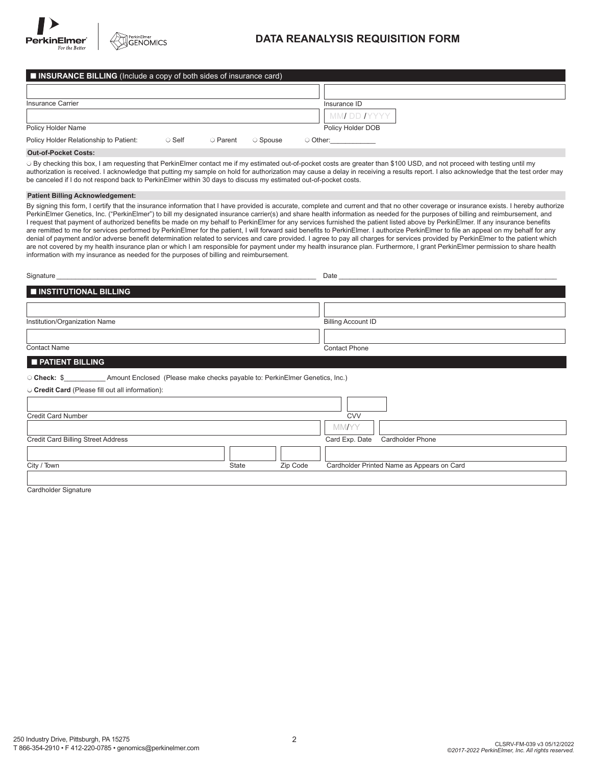

PerkinEImer<br>GENOMICS

# **DATA REANALYSIS REQUISITION FORM**

| $\blacksquare$ INSURANCE BILLING (Include a copy of both sides of insurance card) |              |                |          |                   |
|-----------------------------------------------------------------------------------|--------------|----------------|----------|-------------------|
|                                                                                   |              |                |          |                   |
| Insurance Carrier                                                                 |              |                |          | Insurance ID      |
|                                                                                   |              |                |          | MMI DD IYYYY      |
| Policy Holder Name                                                                |              |                |          | Policy Holder DOB |
| Policy Holder Relationship to Patient:                                            | $\circ$ Self | $\circ$ Parent | ○ Spouse | $\circ$ Other:    |

# **Out-of-Pocket Costs:**

 $\circ$  By checking this box, I am requesting that PerkinElmer contact me if my estimated out-of-pocket costs are greater than \$100 USD, and not proceed with testing until my authorization is received. I acknowledge that putting my sample on hold for authorization may cause a delay in receiving a results report. I also acknowledge that the test order may be canceled if I do not respond back to PerkinElmer within 30 days to discuss my estimated out-of-pocket costs.

### **Patient Billing Acknowledgement:**

By signing this form, I certify that the insurance information that I have provided is accurate, complete and current and that no other coverage or insurance exists. I hereby authorize PerkinElmer Genetics, Inc. ("PerkinElmer") to bill my designated insurance carrier(s) and share health information as needed for the purposes of billing and reimbursement, and I request that payment of authorized benefits be made on my behalf to PerkinElmer for any services furnished the patient listed above by PerkinElmer. If any insurance benefits are remitted to me for services performed by PerkinElmer for the patient, I will forward said benefits to PerkinElmer. I authorize PerkinElmer to file an appeal on my behalf for any denial of payment and/or adverse benefit determination related to services and care provided. I agree to pay all charges for services provided by PerkinElmer to the patient which are not covered by my health insurance plan or which I am responsible for payment under my health insurance plan. Furthermore, I grant PerkinElmer permission to share health information with my insurance as needed for the purposes of billing and reimbursement.

| Signature                     | Date                      |
|-------------------------------|---------------------------|
| INSTITUTIONAL BILLING         |                           |
|                               |                           |
| Institution/Organization Name | <b>Billing Account ID</b> |
|                               |                           |
| <b>Contact Name</b>           | <b>Contact Phone</b>      |
| <b>PATIENT BILLING</b>        |                           |

| ◯ Check: \$                                      | Amount Enclosed (Please make checks payable to: PerkinElmer Genetics, Inc.) |          |                |                                            |
|--------------------------------------------------|-----------------------------------------------------------------------------|----------|----------------|--------------------------------------------|
| O Credit Card (Please fill out all information): |                                                                             |          |                |                                            |
|                                                  |                                                                             |          |                |                                            |
| Credit Card Number                               |                                                                             |          | <b>CVV</b>     |                                            |
|                                                  |                                                                             |          | <b>MMAYY</b>   |                                            |
| <b>Credit Card Billing Street Address</b>        |                                                                             |          | Card Exp. Date | Cardholder Phone                           |
|                                                  |                                                                             |          |                |                                            |
| City / Town                                      | State                                                                       | Zip Code |                | Cardholder Printed Name as Appears on Card |
|                                                  |                                                                             |          |                |                                            |

Cardholder Signature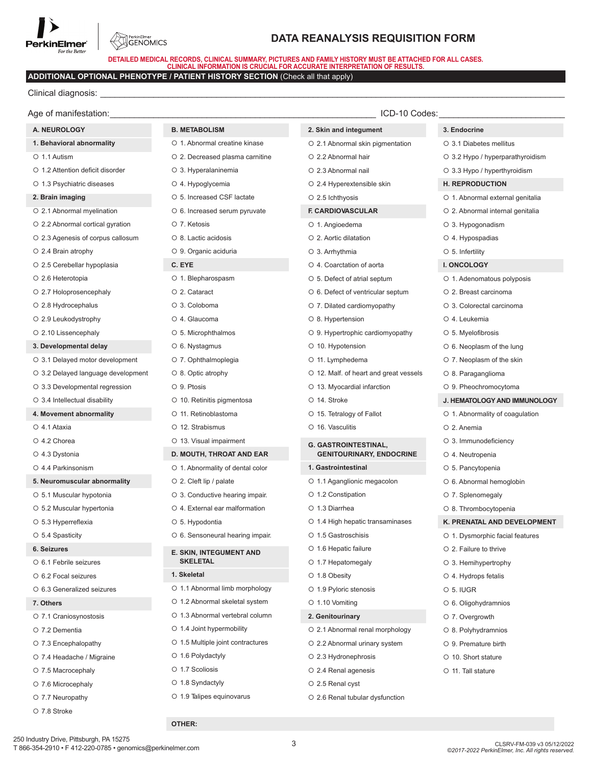

**SENOMICS** 

# **DATA REANALYSIS REQUISITION FORM**

**DETAILED MEDICAL RECORDS, CLINICAL SUMMARY, PICTURES AND FAMILY HISTORY MUST BE ATTACHED FOR ALL CASES. CLINICAL INFORMATION IS CRUCIAL FOR ACCURATE INTERPRETATION OF RESULTS.**

# **ADDITIONAL OPTIONAL PHENOTYPE / PATIENT HISTORY SECTION** (Check all that apply)

Clinical diagnosis:

| Age of manifestation:              |                                   | ICD-10 Codes:                          |                                  |
|------------------------------------|-----------------------------------|----------------------------------------|----------------------------------|
| A. NEUROLOGY                       | <b>B. METABOLISM</b>              | 2. Skin and integument                 | 3. Endocrine                     |
| 1. Behavioral abnormality          | O 1. Abnormal creatine kinase     | O 2.1 Abnormal skin pigmentation       | ○ 3.1 Diabetes mellitus          |
| O 1.1 Autism                       | O 2. Decreased plasma carnitine   | ○ 2.2 Abnormal hair                    | ○ 3.2 Hypo / hyperparathyroidism |
| ○ 1.2 Attention deficit disorder   | O 3. Hyperalaninemia              | O 2.3 Abnormal nail                    | ○ 3.3 Hypo / hyperthyroidism     |
| O 1.3 Psychiatric diseases         | O 4. Hypoglycemia                 | O 2.4 Hyperextensible skin             | <b>H. REPRODUCTION</b>           |
| 2. Brain imaging                   | ○ 5. Increased CSF lactate        | $\circ$ 2.5 lchthyosis                 | O 1. Abnormal external genitalia |
| O 2.1 Abnormal myelination         | O 6. Increased serum pyruvate     | F. CARDIOVASCULAR                      | O 2. Abnormal internal genitalia |
| ○ 2.2 Abnormal cortical gyration   | O 7. Ketosis                      | O 1. Angioedema                        | O 3. Hypogonadism                |
| O 2.3 Agenesis of corpus callosum  | O 8. Lactic acidosis              | ○ 2. Aortic dilatation                 | O 4. Hypospadias                 |
| $\circ$ 2.4 Brain atrophy          | O 9. Organic aciduria             | O 3. Arrhythmia                        | $\circ$ 5. Infertility           |
| O 2.5 Cerebellar hypoplasia        | C. EYE                            | O 4. Coarctation of aorta              | <b>I. ONCOLOGY</b>               |
| O 2.6 Heterotopia                  | O 1. Blepharospasm                | O 5. Defect of atrial septum           | O 1. Adenomatous polyposis       |
| O 2.7 Holoprosencephaly            | O 2. Cataract                     | ○ 6. Defect of ventricular septum      | O 2. Breast carcinoma            |
| ○ 2.8 Hydrocephalus                | O 3. Coloboma                     | O 7. Dilated cardiomyopathy            | O 3. Colorectal carcinoma        |
| $\circ$ 2.9 Leukodystrophy         | O 4. Glaucoma                     | O 8. Hypertension                      | O 4. Leukemia                    |
| O 2.10 Lissencephaly               | O 5. Microphthalmos               | O 9. Hypertrophic cardiomyopathy       | O 5. Myelofibrosis               |
| 3. Developmental delay             | O 6. Nystagmus                    | $\circ$ 10. Hypotension                | O 6. Neoplasm of the lung        |
| O 3.1 Delayed motor development    | O 7. Ophthalmoplegia              | O 11. Lymphedema                       | O 7. Neoplasm of the skin        |
| O 3.2 Delayed language development | $\circ$ 8. Optic atrophy          | ○ 12. Malf. of heart and great vessels | O 8. Paraganglioma               |
| O 3.3 Developmental regression     | O 9. Ptosis                       | O 13. Myocardial infarction            | O 9. Pheochromocytoma            |
| ○ 3.4 Intellectual disability      | O 10. Retinitis pigmentosa        | O 14. Stroke                           | J. HEMATOLOGY AND IMMUNOLOGY     |
| 4. Movement abnormality            | O 11. Retinoblastoma              | O 15. Tetralogy of Fallot              | O 1. Abnormality of coagulation  |
| O 4.1 Ataxia                       | O 12. Strabismus                  | O 16. Vasculitis                       | O 2. Anemia                      |
| O 4.2 Chorea                       | O 13. Visual impairment           | <b>G. GASTROINTESTINAL,</b>            | O 3. Immunodeficiency            |
| O 4.3 Dystonia                     | D. MOUTH, THROAT AND EAR          | <b>GENITOURINARY, ENDOCRINE</b>        | O 4. Neutropenia                 |
| O 4.4 Parkinsonism                 | O 1. Abnormality of dental color  | 1. Gastrointestinal                    | O 5. Pancytopenia                |
| 5. Neuromuscular abnormality       | $\circ$ 2. Cleft lip / palate     | O 1.1 Aganglionic megacolon            | O 6. Abnormal hemoglobin         |
| O 5.1 Muscular hypotonia           | O 3. Conductive hearing impair.   | O 1.2 Constipation                     | O 7. Splenomegaly                |
| O 5.2 Muscular hypertonia          | O 4. External ear malformation    | O 1.3 Diarrhea                         | O 8. Thrombocytopenia            |
| O 5.3 Hyperreflexia                | O 5. Hypodontia                   | O 1.4 High hepatic transaminases       | K. PRENATAL AND DEVELOPMENT      |
| ○ 5.4 Spasticity                   | O 6. Sensoneural hearing impair.  | O 1.5 Gastroschisis                    | O 1. Dysmorphic facial features  |
| 6. Seizures                        | E. SKIN, INTEGUMENT AND           | $\circ$ 1.6 Hepatic failure            | $\circ$ 2. Failure to thrive     |
| ○ 6.1 Febrile seizures             | <b>SKELETAL</b>                   | O 1.7 Hepatomegaly                     | O 3. Hemihypertrophy             |
| ○ 6.2 Focal seizures               | 1. Skeletal                       | O 1.8 Obesity                          | $\circ$ 4. Hydrops fetalis       |
| ○ 6.3 Generalized seizures         | O 1.1 Abnormal limb morphology    | O 1.9 Pyloric stenosis                 | $O$ 5. IUGR                      |
| 7. Others                          | O 1.2 Abnormal skeletal system    | O 1.10 Vomiting                        | O 6. Oligohydramnios             |
| O 7.1 Craniosynostosis             | O 1.3 Abnormal vertebral column   | 2. Genitourinary                       | O 7. Overgrowth                  |
| O 7.2 Dementia                     | ○ 1.4 Joint hypermobility         | O 2.1 Abnormal renal morphology        | O 8. Polyhydramnios              |
| O 7.3 Encephalopathy               | ○ 1.5 Multiple joint contractures | O 2.2 Abnormal urinary system          | ○ 9. Premature birth             |
|                                    | O 1.6 Polydactyly                 | ○ 2.3 Hydronephrosis                   | ○ 10. Short stature              |
| ○ 7.4 Headache / Migraine          |                                   |                                        |                                  |
| ○ 7.5 Macrocephaly                 | O 1.7 Scoliosis                   | O 2.4 Renal agenesis                   | O 11. Tall stature               |
| O 7.6 Microcephaly                 | O 1.8 Syndactyly                  | O 2.5 Renal cyst                       |                                  |
| O 7.7 Neuropathy                   | O 1.9 Talipes equinovarus         | O 2.6 Renal tubular dysfunction        |                                  |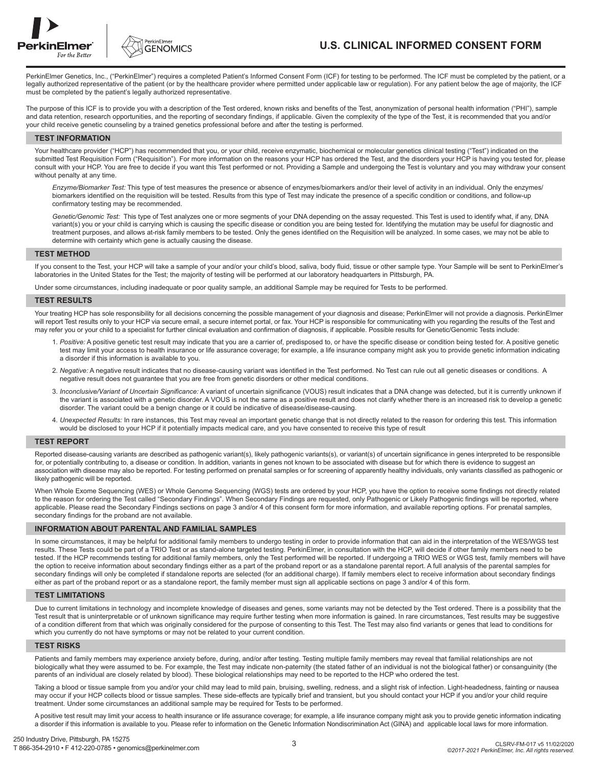



# **U.S. CLINICAL INFORMED CONSENT FORM**

PerkinElmer Genetics, Inc., ("PerkinElmer") requires a completed Patient's Informed Consent Form (ICF) for testing to be performed. The ICF must be completed by the patient, or a legally authorized representative of the patient (or by the healthcare provider where permitted under applicable law or regulation). For any patient below the age of majority, the ICF must be completed by the patient's legally authorized representative.

The purpose of this ICF is to provide you with a description of the Test ordered, known risks and benefits of the Test, anonymization of personal health information ("PHI"), sample and data retention, research opportunities, and the reporting of secondary findings, if applicable. Given the complexity of the type of the Test, it is recommended that you and/or your child receive genetic counseling by a trained genetics professional before and after the testing is performed.

#### **TEST INFORMATION**

Your healthcare provider ("HCP") has recommended that you, or your child, receive enzymatic, biochemical or molecular genetics clinical testing ("Test") indicated on the submitted Test Requisition Form ("Requisition"). For more information on the reasons your HCP has ordered the Test, and the disorders your HCP is having you tested for, please consult with your HCP. You are free to decide if you want this Test performed or not. Providing a Sample and undergoing the Test is voluntary and you may withdraw your consent without penalty at any time.

*Enzyme/Biomarker Test:* This type of test measures the presence or absence of enzymes/biomarkers and/or their level of activity in an individual. Only the enzymes/ biomarkers identified on the requisition will be tested. Results from this type of Test may indicate the presence of a specific condition or conditions, and follow-up confirmatory testing may be recommended.

*Genetic/Genomic Test:* This type of Test analyzes one or more segments of your DNA depending on the assay requested. This Test is used to identify what, if any, DNA variant(s) you or your child is carrying which is causing the specific disease or condition you are being tested for. Identifying the mutation may be useful for diagnostic and treatment purposes, and allows at-risk family members to be tested. Only the genes identified on the Requisition will be analyzed. In some cases, we may not be able to determine with certainty which gene is actually causing the disease.

### **TEST METHOD**

If you consent to the Test, your HCP will take a sample of your and/or your child's blood, saliva, body fluid, tissue or other sample type. Your Sample will be sent to PerkinElmer's laboratories in the United States for the Test; the majority of testing will be performed at our laboratory headquarters in Pittsburgh, PA.

Under some circumstances, including inadequate or poor quality sample, an additional Sample may be required for Tests to be performed.

#### **TEST RESULTS**

Your treating HCP has sole responsibility for all decisions concerning the possible management of your diagnosis and disease; PerkinElmer will not provide a diagnosis. PerkinElmer will report Test results only to your HCP via secure email, a secure internet portal, or fax. Your HCP is responsible for communicating with you regarding the results of the Test and may refer you or your child to a specialist for further clinical evaluation and confirmation of diagnosis, if applicable. Possible results for Genetic/Genomic Tests include:

- 1. *Positive:* A positive genetic test result may indicate that you are a carrier of, predisposed to, or have the specific disease or condition being tested for. A positive genetic test may limit your access to health insurance or life assurance coverage; for example, a life insurance company might ask you to provide genetic information indicating a disorder if this information is available to you.
- 2. *Negative:* A negative result indicates that no disease-causing variant was identified in the Test performed. No Test can rule out all genetic diseases or conditions. A negative result does not guarantee that you are free from genetic disorders or other medical conditions.
- 3. *Inconclusive/Variant of Uncertain Significance:* A variant of uncertain significance (VOUS) result indicates that a DNA change was detected, but it is currently unknown if the variant is associated with a genetic disorder. A VOUS is not the same as a positive result and does not clarify whether there is an increased risk to develop a genetic disorder. The variant could be a benign change or it could be indicative of disease/disease-causing.
- 4. *Unexpected Results:* In rare instances, this Test may reveal an important genetic change that is not directly related to the reason for ordering this test. This information would be disclosed to your HCP if it potentially impacts medical care, and you have consented to receive this type of result

#### **TEST REPORT**

Reported disease-causing variants are described as pathogenic variant(s), likely pathogenic variant(s) or variant(s) of uncertain significance in genes interpreted to be responsible for, or potentially contributing to, a disease or condition. In addition, variants in genes not known to be associated with disease but for which there is evidence to suggest an association with disease may also be reported. For testing performed on prenatal samples or for screening of apparently healthy individuals, only variants classified as pathogenic or likely pathogenic will be reported.

When Whole Exome Sequencing (WES) or Whole Genome Sequencing (WGS) tests are ordered by your HCP, you have the option to receive some findings not directly related to the reason for ordering the Test called "Secondary Findings". When Secondary Findings are requested, only Pathogenic or Likely Pathogenic findings will be reported, where applicable. Please read the Secondary Findings sections on page 3 and/or 4 of this consent form for more information, and available reporting options. For prenatal samples, secondary findings for the proband are not available.

## **INFORMATION ABOUT PARENTAL AND FAMILIAL SAMPLES**

In some circumstances, it may be helpful for additional family members to undergo testing in order to provide information that can aid in the interpretation of the WES/WGS test results. These Tests could be part of a TRIO Test or as stand-alone targeted testing. PerkinElmer, in consultation with the HCP, will decide if other family members need to be tested. If the HCP recommends testing for additional family members, only the Test performed will be reported. If undergoing a TRIO WES or WGS test, family members will have the option to receive information about secondary findings either as a part of the proband report or as a standalone parental report. A full analysis of the parental samples for secondary findings will only be completed if standalone reports are selected (for an additional charge). If family members elect to receive information about secondary findings either as part of the proband report or as a standalone report, the family member must sign all applicable sections on page 3 and/or 4 of this form.

### **TEST LIMITATIONS**

Due to current limitations in technology and incomplete knowledge of diseases and genes, some variants may not be detected by the Test ordered. There is a possibility that the Test result that is uninterpretable or of unknown significance may require further testing when more information is gained. In rare circumstances, Test results may be suggestive of a condition different from that which was originally considered for the purpose of consenting to this Test. The Test may also find variants or genes that lead to conditions for which you currently do not have symptoms or may not be related to your current condition.

### **TEST RISKS**

Patients and family members may experience anxiety before, during, and/or after testing. Testing multiple family members may reveal that familial relationships are not biologically what they were assumed to be. For example, the Test may indicate non-paternity (the stated father of an individual is not the biological father) or consanguinity (the parents of an individual are closely related by blood). These biological relationships may need to be reported to the HCP who ordered the test.

Taking a blood or tissue sample from you and/or your child may lead to mild pain, bruising, swelling, redness, and a slight risk of infection. Light-headedness, fainting or nausea may occur if your HCP collects blood or tissue samples. These side-effects are typically brief and transient, but you should contact your HCP if you and/or your child require treatment. Under some circumstances an additional sample may be required for Tests to be performed.

A positive test result may limit your access to health insurance or life assurance coverage; for example, a life insurance company might ask you to provide genetic information indicating a disorder if this information is available to you. Please refer to information on the Genetic Information Nondiscrimination Act (GINA) and applicable local laws for more information.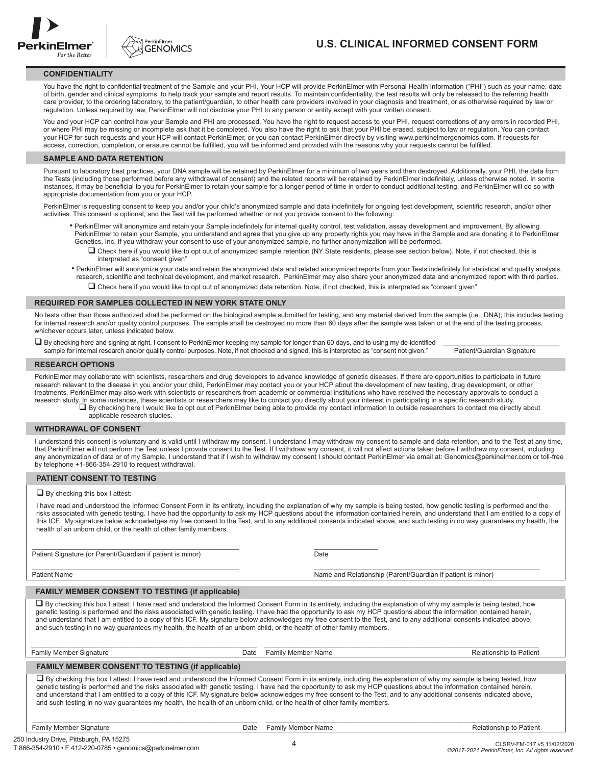



## **CONFIDENTIALITY**

You have the right to confidential treatment of the Sample and your PHI. Your HCP will provide PerkinElmer with Personal Health Information ("PHI") such as your name, date of birth, gender and clinical symptoms to help track your sample and report results. To maintain confidentiality, the test results will only be released to the referring health care provider, to the ordering laboratory, to the patient/guardian, to other health care providers involved in your diagnosis and treatment, or as otherwise required by law or regulation. Unless required by law, PerkinElmer will not disclose your PHI to any person or entity except with your written consent.

You and your HCP can control how your Sample and PHI are processed. You have the right to request access to your PHI, request corrections of any errors in recorded PHI, or where PHI may be missing or incomplete ask that it be completed. You also have the right to ask that your PHI be erased, subject to law or regulation. You can contact your HCP for such requests and your HCP will contact PerkinElmer, or you can contact PerkinElmer directly by visiting www.perkinelmergenomics.com. If requests for access, correction, completion, or erasure cannot be fulfilled, you will be informed and provided with the reasons why your requests cannot be fulfilled.

#### **SAMPLE AND DATA RETENTION**

Pursuant to laboratory best practices, your DNA sample will be retained by PerkinElmer for a minimum of two years and then destroyed. Additionally, your PHI, the data from the Tests (including those performed before any withdrawal of consent) and the related reports will be retained by PerkinElmer indefinitely, unless otherwise noted. In some instances, it may be beneficial to you for PerkinElmer to retain your sample for a longer period of time in order to conduct additional testing, and PerkinElmer will do so with appropriate documentation from you or your HCP.

PerkinElmer is requesting consent to keep you and/or your child's anonymized sample and data indefinitely for ongoing test development, scientific research, and/or other activities. This consent is optional, and the Test will be performed whether or not you provide consent to the following:

- PerkinElmer will anonymize and retain your Sample indefinitely for internal quality control, test validation, assay development and improvement. By allowing PerkinElmer to retain your Sample, you understand and agree that you give up any property rights you may have in the Sample and are donating it to PerkinElmer Genetics, Inc. If you withdraw your consent to use of your anonymized sample, no further anonymization will be performed.
	- □ Check here if you would like to opt out of anonymized sample retention (NY State residents, please see section below). Note, if not checked, this is interpreted as "consent given"
- PerkinElmer will anonymize your data and retain the anonymized data and related anonymized reports from your Tests indefinitely for statistical and quality analysis, research, scientific and technical development, and market research. PerkinElmer may also share your anonymized data and anonymized report with third parties.

 $\Box$  Check here if you would like to opt out of anonymized data retention. Note, if not checked, this is interpreted as "consent given"

#### **REQUIRED FOR SAMPLES COLLECTED IN NEW YORK STATE ONLY**

No tests other than those authorized shall be performed on the biological sample submitted for testing, and any material derived from the sample (i.e., DNA); this includes testing for internal research and/or quality control purposes. The sample shall be destroyed no more than 60 days after the sample was taken or at the end of the testing process, whichever occurs later, unless indicated below.

 By checking here and signing at right, I consent to PerkinElmer keeping my sample for longer than 60 days, and to using my de-identified \_\_\_\_\_\_\_\_\_\_\_\_\_\_\_\_\_\_\_\_\_\_\_\_\_\_\_\_\_\_\_\_ sample for internal research and/or quality control purposes. Note, if not checked and signed, this is interpreted as "consent not given."

#### **RESEARCH OPTIONS**

PerkinElmer may collaborate with scientists, researchers and drug developers to advance knowledge of genetic diseases. If there are opportunities to participate in future research relevant to the disease in you and/or your child, PerkinElmer may contact you or your HCP about the development of new testing, drug development, or other treatments. PerkinElmer may also work with scientists or researchers from academic or commercial institutions who have received the necessary approvals to conduct a research study. In some instances, these scientists or researchers may like to contact you directly about your interest in participating in a specific research study.

By checking here I would like to opt out of PerkinElmer being able to provide my contact information to outside researchers to contact me directly about applicable research studies.

### **WITHDRAWAL OF CONSENT**

I understand this consent is voluntary and is valid until I withdraw my consent. I understand I may withdraw my consent to sample and data retention, and to the Test at any time, that PerkinElmer will not perform the Test unless I provide consent to the Test. If I withdraw any consent, it will not affect actions taken before I withdrew my consent, including any anonymization of data or of my Sample. I understand that if I wish to withdraw my consent I should contact PerkinElmer via email at: Genomics@perkinelmer.com or toll-free by telephone +1-866-354-2910 to request withdrawal.

## **PATIENT CONSENT TO TESTING**

 $\Box$  By checking this box I attest:

I have read and understood the Informed Consent Form in its entirety, including the explanation of why my sample is being tested, how genetic testing is performed and the risks associated with genetic testing. I have had the opportunity to ask my HCP questions about the information contained herein, and understand that I am entitled to a copy of this ICF. My signature below acknowledges my free consent to the Test, and to any additional consents indicated above, and such testing in no way guarantees my health, the health of an unborn child, or the health of other family members.

\_\_\_\_\_\_\_\_\_\_\_\_\_\_\_\_\_\_\_\_\_\_\_\_\_\_\_\_\_\_\_\_\_\_\_\_\_\_\_\_\_\_\_\_\_\_\_\_\_\_\_\_\_\_\_ \_\_\_\_\_\_\_\_\_\_\_\_\_\_\_\_\_ Patient Signature (or Parent/Guardian if patient is minor) Date

Patient Name Name and Relationship (Parent/Guardian if patient is minor)

#### **FAMILY MEMBER CONSENT TO TESTING (if applicable)**

 $\square$  By checking this box I attest: I have read and understood the Informed Consent Form in its entirety, including the explanation of why my sample is being tested, how genetic testing is performed and the risks associated with genetic testing. I have had the opportunity to ask my HCP questions about the information contained herein, and understand that I am entitled to a copy of this ICF. My signature below acknowledges my free consent to the Test, and to any additional consents indicated above, and such testing in no way guarantees my health, the health of an unborn child, or the health of other family members.

\_\_\_\_\_\_\_\_\_\_\_\_\_\_\_\_\_\_\_\_\_\_\_\_\_\_\_\_\_\_\_\_\_\_\_\_\_\_\_\_\_\_\_\_\_\_\_\_\_\_\_\_\_\_\_ \_\_\_\_\_\_\_\_\_\_\_\_\_\_\_\_\_\_\_\_\_\_\_\_\_\_\_\_\_\_\_\_\_\_\_\_\_\_\_\_\_\_\_\_\_\_\_\_\_\_\_\_\_\_\_\_\_\_\_\_

| <b>Family Member Signature</b>                                                                                                                                                                                                                                                                                                                                                                                                                                                                                                                                                                                                                      | Date | Family Member Name | Relationship to Patient |
|-----------------------------------------------------------------------------------------------------------------------------------------------------------------------------------------------------------------------------------------------------------------------------------------------------------------------------------------------------------------------------------------------------------------------------------------------------------------------------------------------------------------------------------------------------------------------------------------------------------------------------------------------------|------|--------------------|-------------------------|
| <b>FAMILY MEMBER CONSENT TO TESTING (if applicable)</b>                                                                                                                                                                                                                                                                                                                                                                                                                                                                                                                                                                                             |      |                    |                         |
| □ By checking this box I attest: I have read and understood the Informed Consent Form in its entirety, including the explanation of why my sample is being tested, how<br>genetic testing is performed and the risks associated with genetic testing. I have had the opportunity to ask my HCP questions about the information contained herein,<br>and understand that I am entitled to a copy of this ICF. My signature below acknowledges my free consent to the Test, and to any additional consents indicated above,<br>and such testing in no way quarantees my health, the health of an unborn child, or the health of other family members. |      |                    |                         |

| Family Member Signature |  |
|-------------------------|--|
|-------------------------|--|

**Date** Family Member Name **Family Member Name** Relationship to Patient

\_\_\_\_\_\_\_\_\_\_\_\_\_\_\_\_\_\_\_\_\_\_\_\_\_\_\_\_\_\_\_\_\_\_\_\_\_\_\_\_\_\_\_\_\_\_\_\_\_\_\_\_\_\_\_\_\_\_\_\_ \_\_\_\_\_\_\_\_\_\_\_\_\_\_\_\_\_\_\_\_\_\_\_\_\_\_\_\_\_\_\_\_\_\_\_\_\_\_\_\_\_\_\_\_\_\_\_\_\_\_\_\_\_\_\_\_\_\_\_\_\_\_\_\_\_\_\_\_\_\_\_\_\_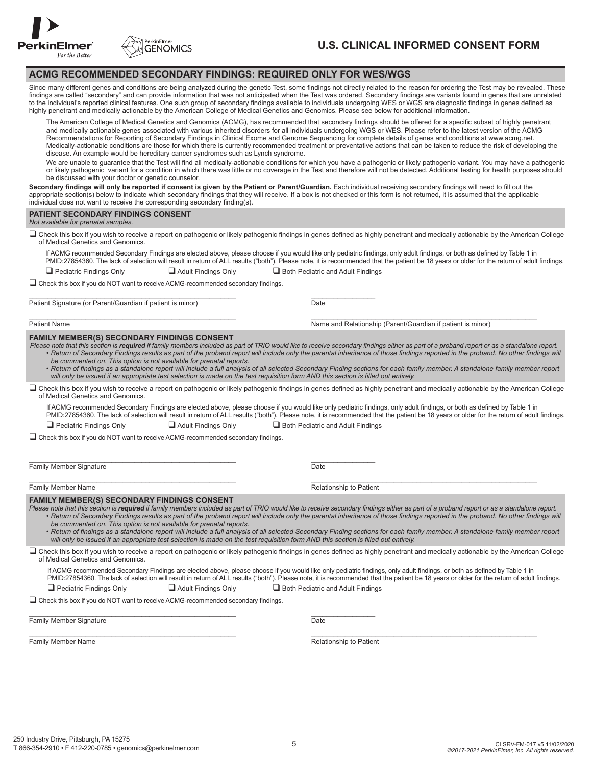



# **ACMG RECOMMENDED SECONDARY FINDINGS: REQUIRED ONLY FOR WES/WGS**

Since many different genes and conditions are being analyzed during the genetic Test, some findings not directly related to the reason for ordering the Test may be revealed. These findings are called "secondary" and can provide information that was not anticipated when the Test was ordered. Secondary findings are variants found in genes that are unrelated to the individual's reported clinical features. One such group of secondary findings available to individuals undergoing WES or WGS are diagnostic findings in genes defined as highly penetrant and medically actionable by the American College of Medical Genetics and Genomics. Please see below for additional information.

The American College of Medical Genetics and Genomics (ACMG), has recommended that secondary findings should be offered for a specific subset of highly penetrant and medically actionable genes associated with various inherited disorders for all individuals undergoing WGS or WES. Please refer to the latest version of the ACMG Recommendations for Reporting of Secondary Findings in Clinical Exome and Genome Sequencing for complete details of genes and conditions at www.acmg.net. Medically-actionable conditions are those for which there is currently recommended treatment or preventative actions that can be taken to reduce the risk of developing the disease. An example would be hereditary cancer syndromes such as Lynch syndrome.

We are unable to guarantee that the Test will find all medically-actionable conditions for which you have a pathogenic or likely pathogenic variant. You may have a pathogenic or likely pathogenic variant for a condition in which there was little or no coverage in the Test and therefore will not be detected. Additional testing for health purposes should be discussed with your doctor or genetic counselor.

Secondary findings will only be reported if consent is given by the Patient or Parent/Guardian. Each individual receiving secondary findings will need to fill out the appropriate section(s) below to indicate which secondary findings that they will receive. If a box is not checked or this form is not returned, it is assumed that the applicable individual does not want to receive the corresponding secondary finding(s).

| <b>PATIENT SECONDARY FINDINGS CONSENT</b><br>Not available for prenatal samples.    |                                                                 |                                                                                                                                                                                                                                                                                                                                                                        |
|-------------------------------------------------------------------------------------|-----------------------------------------------------------------|------------------------------------------------------------------------------------------------------------------------------------------------------------------------------------------------------------------------------------------------------------------------------------------------------------------------------------------------------------------------|
| of Medical Genetics and Genomics.                                                   |                                                                 | □ Check this box if you wish to receive a report on pathogenic or likely pathogenic findings in genes defined as highly penetrant and medically actionable by the American College                                                                                                                                                                                     |
| $\Box$ Pediatric Findings Only                                                      | $\Box$ Adult Findings Only<br>Both Pediatric and Adult Findings | If ACMG recommended Secondary Findings are elected above, please choose if you would like only pediatric findings, only adult findings, or both as defined by Table 1 in<br>PMID:27854360. The lack of selection will result in return of ALL results ("both"). Please note, it is recommended that the patient be 18 years or older for the return of adult findings. |
| □ Check this box if you do NOT want to receive ACMG-recommended secondary findings. |                                                                 |                                                                                                                                                                                                                                                                                                                                                                        |
| Patient Signature (or Parent/Guardian if patient is minor)                          | Date                                                            |                                                                                                                                                                                                                                                                                                                                                                        |

Patient Name Name and Relationship (Parent/Guardian if patient is minor)

# **FAMILY MEMBER(S) SECONDARY FINDINGS CONSENT**

*Please note that this section is required if family members included as part of TRIO would like to receive secondary findings either as part of a proband report or as a standalone report.* • Return of Secondary Findings results as part of the proband report will include only the parental inheritance of those findings reported in the proband. No other findings will *be commented on. This option is not available for prenatal reports.* 

- *• Return of findings as a standalone report will include a full analysis of all selected Secondary Finding sections for each family member. A standalone family member report will only be issued if an appropriate test selection is made on the test requisition form AND this section is filled out entirely.*
- Check this box if you wish to receive a report on pathogenic or likely pathogenic findings in genes defined as highly penetrant and medically actionable by the American College of Medical Genetics and Genomics.
	- If ACMG recommended Secondary Findings are elected above, please choose if you would like only pediatric findings, only adult findings, or both as defined by Table 1 in PMID:27854360. The lack of selection will result in return of ALL results ("both"). Please note, it is recommended that the patient be 18 years or older for the return of adult findings.  $\Box$  Pediatric Findings Only  $\Box$  Adult Findings Only  $\Box$  Both Pediatric and Adult Findings

Check this box if you do NOT want to receive ACMG-recommended secondary findings.

Family Member Signature Date Date of the United States of Date Date Date

\_\_\_\_\_\_\_\_\_\_\_\_\_\_\_\_\_\_\_\_\_\_\_\_\_\_\_\_\_\_\_\_\_\_\_\_\_\_\_\_\_\_\_\_\_\_\_\_\_\_\_\_\_\_\_ \_\_\_\_\_\_\_\_\_\_\_\_\_\_\_\_\_

\_\_\_\_\_\_\_\_\_\_\_\_\_\_\_\_\_\_\_\_\_\_\_\_\_\_\_\_\_\_\_\_\_\_\_\_\_\_\_\_\_\_\_\_\_\_\_\_\_\_\_\_\_\_\_ \_\_\_\_\_\_\_\_\_\_\_\_\_\_\_\_\_\_\_\_\_\_\_\_\_\_\_\_\_\_\_\_\_\_\_\_\_\_\_\_\_\_\_\_\_\_\_\_\_\_\_\_\_\_\_\_\_\_\_\_ Family Member Name **Relationship to Patient** 

# **FAMILY MEMBER(S) SECONDARY FINDINGS CONSENT**

*Please note that this section is required if family members included as part of TRIO would like to receive secondary findings either as part of a proband report or as a standalone report.* • Return of Secondary Findings results as part of the proband report will include only the parental inheritance of those findings reported in the proband. No other findings will *be commented on. This option is not available for prenatal reports.* 

*• Return of findings as a standalone report will include a full analysis of all selected Secondary Finding sections for each family member. A standalone family member report will only be issued if an appropriate test selection is made on the test requisition form AND this section is filled out entirely.*

 $\Box$  Check this box if you wish to receive a report on pathogenic or likely pathogenic findings in genes defined as highly penetrant and medically actionable by the American College of Medical Genetics and Genomics.

If ACMG recommended Secondary Findings are elected above, please choose if you would like only pediatric findings, only adult findings, or both as defined by Table 1 in PMID:27854360. The lack of selection will result in return of ALL results ("both"). Please note, it is recommended that the patient be 18 years or older for the return of adult findings.

 $\Box$  Pediatric Findings Only  $\Box$  Adult Findings Only  $\Box$  Both Pediatric and Adult Findings

Check this box if you do NOT want to receive ACMG-recommended secondary findings.

\_\_\_\_\_\_\_\_\_\_\_\_\_\_\_\_\_\_\_\_\_\_\_\_\_\_\_\_\_\_\_\_\_\_\_\_\_\_\_\_\_\_\_\_\_\_\_\_\_\_\_\_\_\_\_ \_\_\_\_\_\_\_\_\_\_\_\_\_\_\_\_\_ Family Member Signature Date

\_\_\_\_\_\_\_\_\_\_\_\_\_\_\_\_\_\_\_\_\_\_\_\_\_\_\_\_\_\_\_\_\_\_\_\_\_\_\_\_\_\_\_\_\_\_\_\_\_\_\_\_\_\_\_ \_\_\_\_\_\_\_\_\_\_\_\_\_\_\_\_\_\_\_\_\_\_\_\_\_\_\_\_\_\_\_\_\_\_\_\_\_\_\_\_\_\_\_\_\_\_\_\_\_\_\_\_\_\_\_\_\_\_\_\_ Family Member Name **Relationship to Patient**